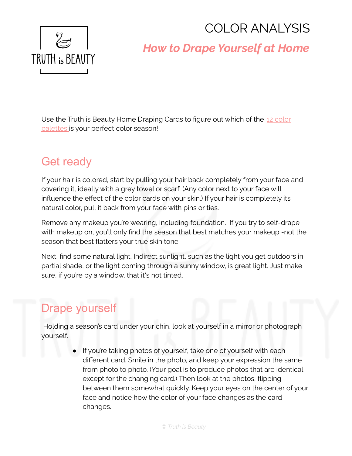# COLOR ANALYSIS



# *How to Drape Yourself at Home*

Use the Truth is Beauty Home Draping Cards to figure out which of the 12 [color](http://www.truth-is-beauty.com/color-analysis.html) [palettes](http://www.truth-is-beauty.com/color-analysis.html) is your perfect color season!

#### Get ready

If your hair is colored, start by pulling your hair back completely from your face and covering it, ideally with a grey towel or scarf. (Any color next to your face will influence the effect of the color cards on your skin.) If your hair is completely its natural color, pull it back from your face with pins or ties.

Remove any makeup you're wearing, including foundation. If you try to self-drape with makeup on, you'll only find the season that best matches your makeup -not the season that best flatters your true skin tone.

Next, find some natural light. Indirect sunlight, such as the light you get outdoors in partial shade, or the light coming through a sunny window, is great light. Just make sure, if you're by a window, that it's not tinted.

# Drape yourself

Holding a season's card under your chin, look at yourself in a mirror or photograph yourself.

> ● If you're taking photos of yourself, take one of yourself with each different card. Smile in the photo, and keep your expression the same from photo to photo. (Your goal is to produce photos that are identical except for the changing card.) Then look at the photos, flipping between them somewhat quickly. Keep your eyes on the center of your face and notice how the color of your face changes as the card changes.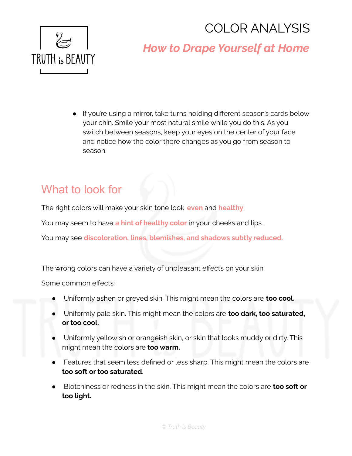# COLOR ANALYSIS



# *How to Drape Yourself at Home*

● If you're using a mirror, take turns holding different season's cards below your chin. Smile your most natural smile while you do this. As you switch between seasons, keep your eyes on the center of your face and notice how the color there changes as you go from season to season.

# What to look for

The right colors will make your skin tone look **even** and **healthy**.

You may seem to have **a hint of healthy color** in your cheeks and lips.

You may see **discoloration, lines, blemishes, and shadows subtly reduced.**

The wrong colors can have a variety of unpleasant effects on your skin.

Some common effects:

- Uniformly ashen or greyed skin. This might mean the colors are **too cool.**
- Uniformly pale skin. This might mean the colors are **too dark, too saturated, or too cool.**
- Uniformly yellowish or orangeish skin, or skin that looks muddy or dirty. This might mean the colors are **too warm.**
- Features that seem less defined or less sharp. This might mean the colors are **too soft or too saturated.**
- Blotchiness or redness in the skin. This might mean the colors are **too soft or too light.**